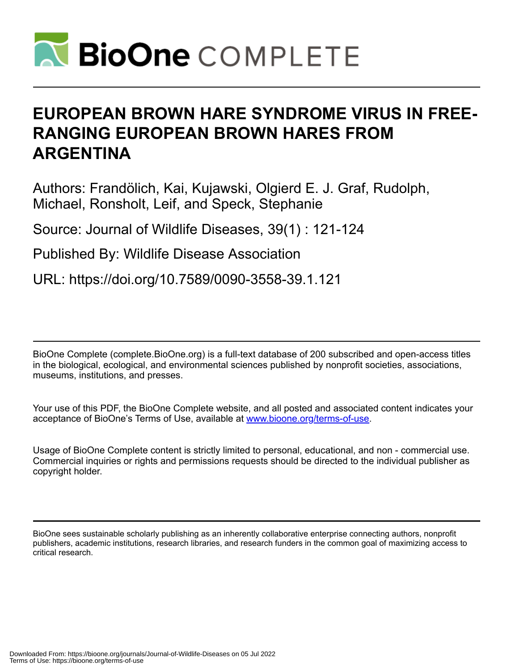

# **EUROPEAN BROWN HARE SYNDROME VIRUS IN FREE-RANGING EUROPEAN BROWN HARES FROM ARGENTINA**

Authors: Frandölich, Kai, Kujawski, Olgierd E. J. Graf, Rudolph, Michael, Ronsholt, Leif, and Speck, Stephanie

Source: Journal of Wildlife Diseases, 39(1) : 121-124

Published By: Wildlife Disease Association

URL: https://doi.org/10.7589/0090-3558-39.1.121

BioOne Complete (complete.BioOne.org) is a full-text database of 200 subscribed and open-access titles in the biological, ecological, and environmental sciences published by nonprofit societies, associations, museums, institutions, and presses.

Your use of this PDF, the BioOne Complete website, and all posted and associated content indicates your acceptance of BioOne's Terms of Use, available at www.bioone.org/terms-of-use.

Usage of BioOne Complete content is strictly limited to personal, educational, and non - commercial use. Commercial inquiries or rights and permissions requests should be directed to the individual publisher as copyright holder.

BioOne sees sustainable scholarly publishing as an inherently collaborative enterprise connecting authors, nonprofit publishers, academic institutions, research libraries, and research funders in the common goal of maximizing access to critical research.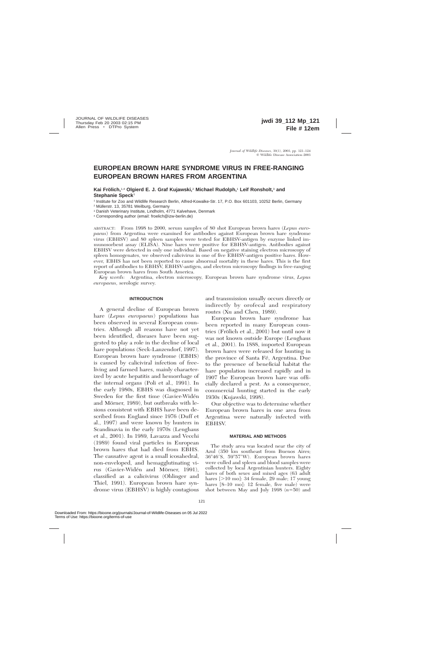# **EUROPEAN BROWN HARE SYNDROME VIRUS IN FREE-RANGING EUROPEAN BROWN HARES FROM ARGENTINA**

**Kai Frölich,**<sup>1,4</sup> Olgierd E. J. Graf Kujawski,<sup>2</sup> Michael Rudolph,<sup>1</sup> Leif Ronsholt,<sup>3</sup> and **Stephanie Speck**<sup>1</sup>

<sup>1</sup> Institute for Zoo and Wildlife Research Berlin, Alfred-Kowalke-Str. 17, P.O. Box 601103, 10252 Berlin, Germany

<sup>2</sup> Müllerstr. 13, 35781 Weilburg, Germany

<sup>3</sup> Danish Veterinary Institute, Lindholm, 4771 Kalvehave, Denmark

<sup>4</sup> Corresponding author (email: froelich@izw-berlin.de)

ABSTRACT: From 1998 to 2000, serum samples of 80 shot European brown hares (*Lepus europaeus*) from Argentina were examined for antibodies against European brown hare syndrome virus (EBHSV) and 80 spleen samples were tested for EBHSV-antigen by enzyme linked immunosorbent assay (ELISA). Nine hares were positive for EBHSV-antigen. Antibodies against EBHSV were detected in only one individual. Based on negative staining electron microscopy of spleen homogenates, we observed calicivirus in one of five EBHSV-antigen positive hares. However, EBHS has not been reported to cause abnormal mortality in these hares. This is the first report of antibodies to EBHSV, EBHSV-antigen, and electron microscopy findings in free-ranging European brown hares from South America.

*Key words:* Argentina, electron microscopy, European brown hare syndrome virus, *Lepus europaeus,* serologic survey.

### **INTRODUCTION**

A general decline of European brown hare (*Lepus europaeus*) populations has been observed in several European countries. Although all reasons have not yet been identified, diseases have been suggested to play a role in the decline of local hare populations (Seck-Lanzendorf, 1997). European brown hare syndrome (EBHS) is caused by caliciviral infection of freeliving and farmed hares, mainly characterized by acute hepatitis and hemorrhage of the internal organs (Poli et al., 1991). In the early 1980s, EBHS was diagnosed in Sweden for the first time (Gavier-Widen and Mörner, 1989), but outbreaks with lesions consistent with EBHS have been described from England since 1976 (Duff et al., 1997) and were known by hunters in Scandinavia in the early 1970s (Lenghaus et al., 2001). In 1989, Lavazza and Vecchi (1989) found viral particles in European brown hares that had died from EBHS. The causative agent is a small icosahedral, non-enveloped, and hemagglutinating virus (Gavier-Widén and Mörner, 1991), classified as a calicivirus (Ohlinger and Thiel, 1991). European brown hare syndrome virus (EBHSV) is highly contagious

and transmission usually occurs directly or indirectly by orofecal and respiratory routes (Xu and Chen, 1989).

European brown hare syndrome has been reported in many European countries (Frölich et al., 2001) but until now it was not known outside Europe (Lenghaus et al., 2001). In 1888, imported European brown hares were released for hunting in the province of Santa Fé, Argentina. Due to the presence of beneficial habitat the hare population increased rapidly and in 1907 the European brown hare was officially declared a pest. As a consequence, commercial hunting started in the early 1930s (Kujawski, 1998).

Our objective was to determine whether European brown hares in one area from Argentina were naturally infected with EBHSV.

#### **MATERIAL AND METHODS**

The study area was located near the city of Azul (350 km southeast from Buenos Aires; 36°46′S, 59°57′W). European brown hares were culled and spleen and blood samples were collected by local Argentinian hunters. Eighty hares of both sexes and mixed ages (63 adult hares  $[>10 \text{ mol}]$ : 34 female, 29 male; 17 young hares  $[8-10 \text{ mol}]$ : 12 female, five male) were shot between May and July 1998  $(n=50)$  and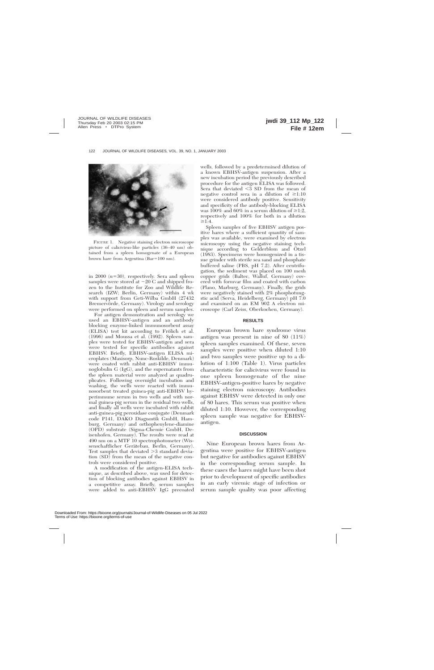

FIGURE 1. Negative staining electron microscope picture of calicivirus-like particles (36–40 nm) obtained from a spleen homogenate of a European brown hare from Argentina  $(Bar=100 \text{ nm})$ .

in 2000  $(n=30)$ , respectively. Sera and spleen samples were stored at  $-20$  C and shipped frozen to the Institute for Zoo and Wildlife Research (IZW; Berlin, Germany) within 4 wk with support from Geti-Wilba GmbH (27432 Bremervörde, Germany). Virology and serology were performed on spleen and serum samples.

For antigen demonstration and serology we used an EBHSV-antigen and an antibody blocking enzyme-linked immunosorbent assay (ELISA) test kit according to Frölich et al. (1996) and Moussa et al. (1992). Spleen samples were tested for EBHSV-antigen and sera were tested for specific antibodies against EBHSV. Briefly, EBHSV-antigen ELISA microplates (Maxisorp, Nunc-Roskilde, Denmark) were coated with rabbit anti-EBHSV immunoglobulin G (IgG), and the supernatants from the spleen material were analyzed as quadruplicates. Following overnight incubation and washing, the wells were reacted with immunosorbent treated guinea-pig anti-EBHSV hyperimmune serum in two wells and with normal guinea-pig serum in the residual two wells, and finally all wells were incubated with rabbit anti-guinea-pig peroxidase conjugate (Denmark code P141, DAKO Diagnostik GmbH, Hamburg, Germany) and orthophenylene-diamine (OPD) substrate (Sigma-Chemie GmbH, Deisenhofen, Germany). The results were read at 490 nm on a MTF 10 spectrophotometer (Wissenschaftlicher Gerätebau, Berlin, Germany). Test samples that deviated  $\geq$ 3 standard deviation (SD) from the mean of the negative controls were considered positive.

A modification of the antigen-ELISA technique, as described above, was used for detection of blocking antibodies against EBHSV in a competitive assay. Briefly, serum samples were added to anti-EBHSV IgG precoated wells, followed by a predetermined dilution of a known EBHSV-antigen suspension. After a new incubation period the previously described procedure for the antigen ELISA was followed. Sera that deviated  $\leq$ 3 SD from the mean of negative control sera in a dilution of  $\geq 1:10$ were considered antibody positive. Sensitivity and specificity of the antibody-blocking ELISA was 100% and 60% in a serum dilution of  $\geq$ 1:2, respectively and 100% for both in a dilution  $\geq 1:4$ .

Spleen samples of five EBHSV antigen positive hares where a sufficient quantity of samples was available, were examined by electron microscopy using the negative staining technique according to Gelderblom and Ötzel (1983). Specimens were homogenized in a tissue grinder with sterile sea sand and phosphate buffered saline (PBS, pH 7.2). After centrifugation, the sediment was placed on 100 mesh copper grids (Baltec, Walluf, Germany) covered with formvar film and coated with carbon (Plano, Marburg, Germany). Finally, the grids were negatively stained with 2% phosphotungstic acid (Serva, Heidelberg, Germany) pH 7.0 and examined on an EM 902 A electron microscope (Carl Zeiss, Oberkochen, Germany).

#### **RESULTS**

European brown hare syndrome virus antigen was present in nine of 80 (11%) spleen samples examined. Of these, seven samples were positive when diluted 1:10 and two samples were positive up to a dilution of 1:100 (Table 1). Virus particles characteristic for calicivirus were found in one spleen homogenate of the nine EBHSV-antigen-positive hares by negative staining electron microscopy. Antibodies against EBHSV were detected in only one of 80 hares. This serum was positive when diluted 1:10. However, the corresponding spleen sample was negative for EBHSVantigen.

#### **DISCUSSION**

Nine European brown hares from Argentina were positive for EBHSV-antigen but negative for antibodies against EBHSV in the corresponding serum sample. In these cases the hares might have been shot prior to development of specific antibodies in an early viremic stage of infection or serum sample quality was poor affecting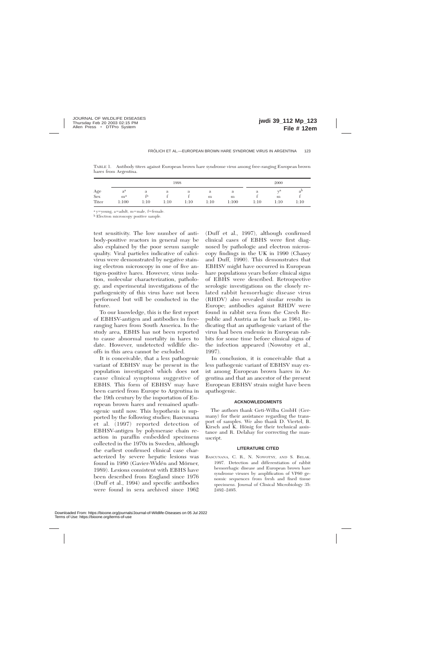|                                                           | 1998                    |         |      |      |           |            | 2000 |                            |           |
|-----------------------------------------------------------|-------------------------|---------|------|------|-----------|------------|------|----------------------------|-----------|
| $\begin{array}{c}\n\text{Age} \\ \text{Sex}\n\end{array}$ | $a^a$                   | а<br>fa | а    | a    | a         | a          | a    | $\pi \tau$ <sub>r</sub> ca | $a^{\nu}$ |
| Titer                                                     | m <sup>a</sup><br>1:100 | 1:10    | 1:10 | 1:10 | m<br>1:10 | m<br>1:100 | 1:10 | m<br>1:10                  | 1:10      |

TABLE 1. Antibody titers against European brown hare syndrome virus among free-ranging European brown hares from Argentina.

<sup>a</sup> y=young, a=adult, m=male, f=female.

<sup>b</sup> Electron microscopy positive sample.

test sensitivity. The low number of antibody-positive reactors in general may be also explained by the poor serum sample quality. Viral particles indicative of calicivirus were demonstrated by negative staining electron microscopy in one of five antigen-positive hares. However, virus isolation, molecular characterization, pathology, and experimental investigations of the pathogenicity of this virus have not been performed but will be conducted in the future.

To our knowledge, this is the first report of EBHSV-antigen and antibodies in freeranging hares from South America. In the study area, EBHS has not been reported to cause abnormal mortality in hares to date. However, undetected wildlife dieoffs in this area cannot be excluded.

It is conceivable, that a less pathogenic variant of EBHSV may be present in the population investigated which does not cause clinical symptoms suggestive of EBHS. This form of EBHSV may have been carried from Europe to Argentina in the 19th century by the importation of European brown hares and remained apathogenic until now. This hypothesis is supported by the following studies; Bascunana et al. (1997) reported detection of EBHSV-antigen by polymerase chain reaction in paraffin embedded specimens collected in the 1970s in Sweden, although the earliest confirmed clinical case characterized by severe hepatic lesions was found in 1980 (Gavier-Widén and Mörner, 1989). Lesions consistent with EBHS have been described from England since 1976 (Duff et al., 1994) and specific antibodies were found in sera archived since 1962

(Duff et al., 1997), although confirmed clinical cases of EBHS were first diagnosed by pathologic and electron microscopy findings in the UK in 1990 (Chasey and Duff, 1990). This demonstrates that EBHSV might have occurred in European hare populations years before clinical signs of EBHS were described. Retrospective serologic investigations on the closely related rabbit hemorrhagic disease virus (RHDV) also revealed similar results in Europe; antibodies against RHDV were found in rabbit sera from the Czech Republic and Austria as far back as 1961, indicating that an apathogenic variant of the virus had been endemic in European rabbits for some time before clinical signs of the infection appeared (Nowotny et al., 1997).

In conclusion, it is conceivable that a less pathogenic variant of EBHSV may exist among European brown hares in Argentina and that an ancestor of the present European EBHSV strain might have been apathogenic.

# **ACKNOWLEDGMENTS**

The authors thank Geti-Wilba GmbH (Germany) for their assistance regarding the transport of samples. We also thank D. Viertel, B. Kirsch and K. Hönig for their technical assistance and R. Delahay for correcting the manuscript.

# **LITERATURE CITED**

BASCUNANA, C. R., N. NOWOTNY, AND S. BELAK. 1997. Detection and differentiation of rabbit hemorrhagic disease and European brown hare syndrome viruses by amplification of VP60 genomic sequences from fresh and fixed tissue specimens. Journal of Clinical Microbiology 35: 2492–2495.